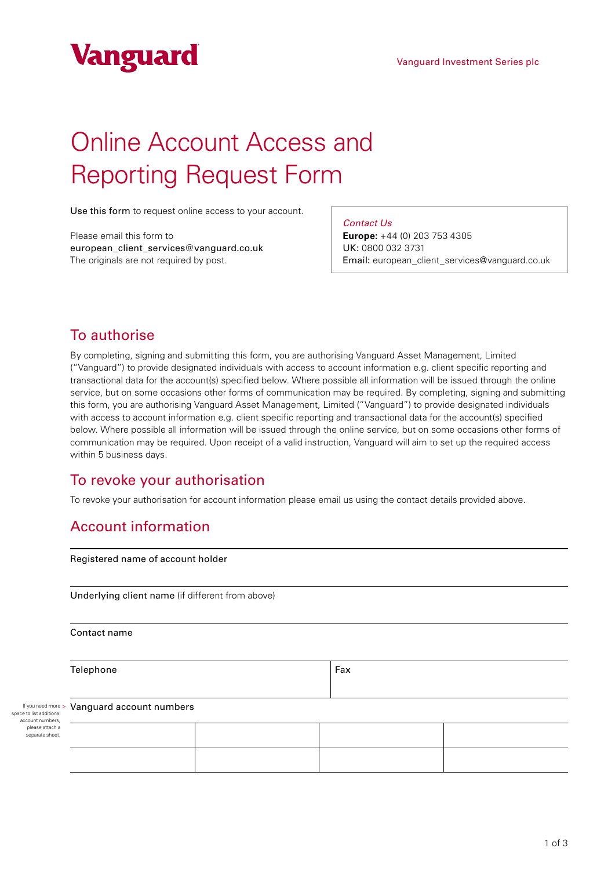

# Online Account Access and Reporting Request Form

Use this form to request online access to your account.

Please email this form to european\_client\_services@vanguard.co.uk The originals are not required by post.

*Contact Us*

**Europe:** +44 (0) 203 753 4305 UK: 0800 032 3731 Email: european\_client\_services@vanguard.co.uk

# To authorise

By completing, signing and submitting this form, you are authorising Vanguard Asset Management, Limited ("Vanguard") to provide designated individuals with access to account information e.g. client specific reporting and transactional data for the account(s) specified below. Where possible all information will be issued through the online service, but on some occasions other forms of communication may be required. By completing, signing and submitting this form, you are authorising Vanguard Asset Management, Limited ("Vanguard") to provide designated individuals with access to account information e.g. client specific reporting and transactional data for the account(s) specified below. Where possible all information will be issued through the online service, but on some occasions other forms of communication may be required. Upon receipt of a valid instruction, Vanguard will aim to set up the required access within 5 business days.

# To revoke your authorisation

To revoke your authorisation for account information please email us using the contact details provided above.

# Account information

Registered name of account holder

Underlying client name (if different from above)

Contact name

Telephone Fax

If you need more > space to list additional account numbers, please attach a separate sheet

#### Vanguard account numbers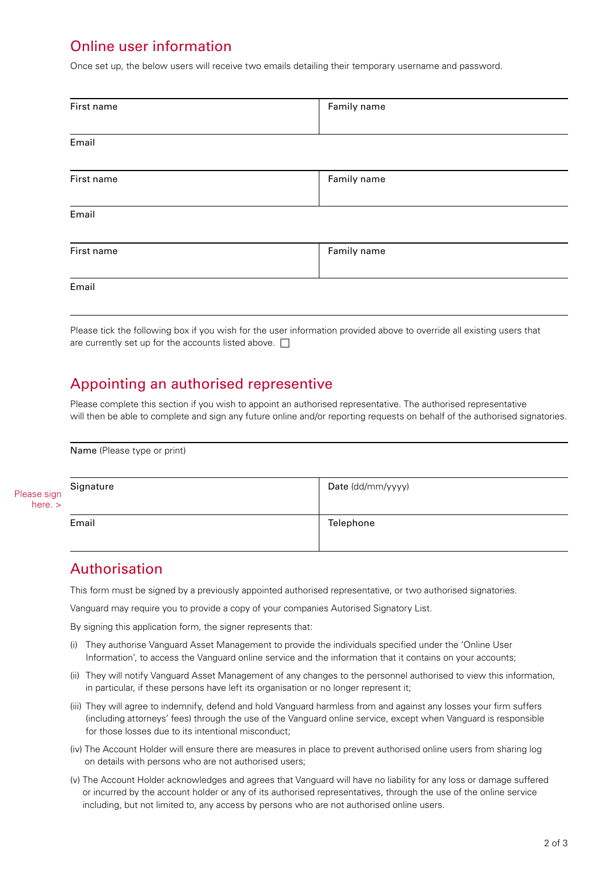# Online user information

Once set up, the below users will receive two emails detailing their temporary username and password.

| First name | Family name |  |
|------------|-------------|--|
| Email      |             |  |
| First name | Family name |  |
| Email      |             |  |
| First name | Family name |  |
| Email      |             |  |
|            |             |  |

Please tick the following box if you wish for the user information provided above to override all existing users that are currently set up for the accounts listed above.  $\square$ 

### Appointing an authorised representive

Please complete this section if you wish to appoint an authorised representative. The authorised representative will then be able to complete and sign any future online and/or reporting requests on behalf of the authorised signatories.

|                        | Name (Please type or print) |                   |  |
|------------------------|-----------------------------|-------------------|--|
| Please sign<br>here. > | Signature                   | Date (dd/mm/yyyy) |  |
|                        | Email                       | Telephone         |  |

# Authorisation

This form must be signed by a previously appointed authorised representative, or two authorised signatories.

Vanguard may require you to provide a copy of your companies Autorised Signatory List.

By signing this application form, the signer represents that:

- (i) They authorise Vanguard Asset Management to provide the individuals specified under the 'Online User Information', to access the Vanguard online service and the information that it contains on your accounts;
- (ii) They will notify Vanguard Asset Management of any changes to the personnel authorised to view this information, in particular, if these persons have left its organisation or no longer represent it;
- (iii) They will agree to indemnify, defend and hold Vanguard harmless from and against any losses your firm suffers (including attorneys' fees) through the use of the Vanguard online service, except when Vanguard is responsible for those losses due to its intentional misconduct;
- (iv) The Account Holder will ensure there are measures in place to prevent authorised online users from sharing log on details with persons who are not authorised users;
- (v) The Account Holder acknowledges and agrees that Vanguard will have no liability for any loss or damage suffered or incurred by the account holder or any of its authorised representatives, through the use of the online service including, but not limited to, any access by persons who are not authorised online users.